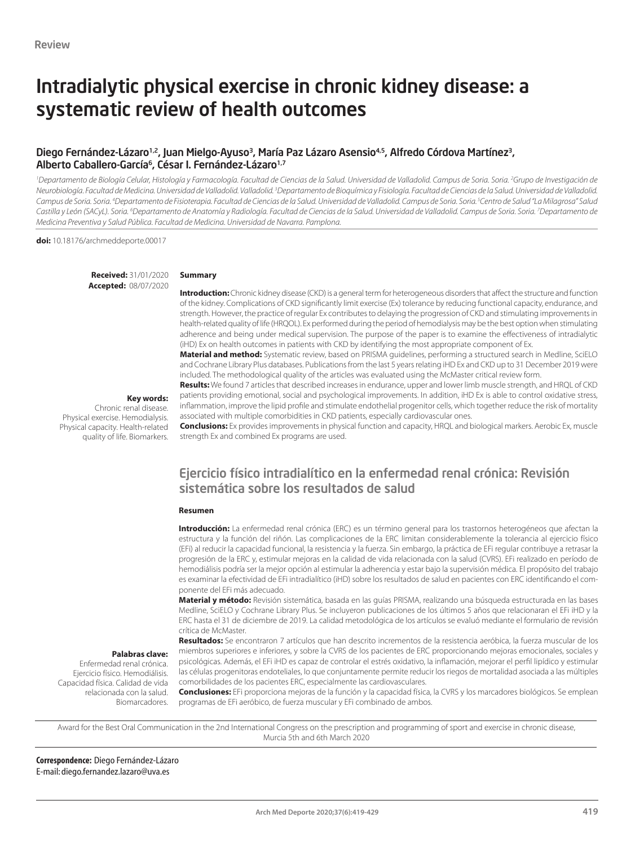# Intradialytic physical exercise in chronic kidney disease: a systematic review of health outcomes

# Diego Fernández-Lázaro<sup>1,2</sup>, Juan Mielgo-Ayuso<sup>3</sup>, María Paz Lázaro Asensio<sup>4,5</sup>, Alfredo Córdova Martínez<sup>3</sup>, Alberto Caballero-García<sup>6</sup>, César I. Fernández-Lázaro<sup>1,7</sup>

*1 Departamento de Biología Celular, Histología y Farmacología. Facultad de Ciencias de la Salud. Universidad de Valladolid. Campus de Soria. Soria. 2 Grupo de Investigación de*  Neurobiología. Facultad de Medicina. Universidad de Valladolid. <sup>3</sup> del doldid. <sup>3</sup> Departamento de Bioquímica y Fisiología. Facultad de Ciencias de la Salud. Universidad de Valladolid. Campus de Soria. Soria. <sup>4</sup>Departamento de Fisioterapia. Facultad de Ciencias de la Salud. Universidad de Valladolid. Campus de Soria. Soria. <sup>s</sup>Centro de Salud "La Milagrosa" Salud *Castilla y León (SACyL). Soria. 6 Departamento de Anatomía y Radiología. Facultad de Ciencias de la Salud. Universidad de Valladolid. Campus de Soria. Soria. 7 Departamento de Medicina Preventiva y Salud Pública. Facultad de Medicina. Universidad de Navarra. Pamplona.*

**doi:** 10.18176/archmeddeporte.00017

**Received:** 31/01/2020 **Accepted:** 08/07/2020

#### **Summary**

**Introduction:** Chronic kidney disease (CKD) is a general term for heterogeneous disorders that affect the structure and function of the kidney. Complications of CKD significantly limit exercise (Ex) tolerance by reducing functional capacity, endurance, and strength. However, the practice of regular Ex contributes to delaying the progression of CKD and stimulating improvements in health-related quality of life (HRQOL). Ex performed during the period of hemodialysis may be the best option when stimulating adherence and being under medical supervision. The purpose of the paper is to examine the effectiveness of intradialytic (iHD) Ex on health outcomes in patients with CKD by identifying the most appropriate component of Ex.

**Material and method:** Systematic review, based on PRISMA guidelines, performing a structured search in Medline, SciELO and Cochrane Library Plus databases. Publications from the last 5 years relating iHD Ex and CKD up to 31 December 2019 were included. The methodological quality of the articles was evaluated using the McMaster critical review form.

**Key words:** 

**Palabras clave:**  Enfermedad renal crónica. Ejercicio físico. Hemodiálisis. Capacidad física. Calidad de vida relacionada con la salud. Biomarcadores.

Chronic renal disease. Physical exercise. Hemodialysis. Physical capacity. Health-related quality of life. Biomarkers. **Results:** We found 7 articles that described increases in endurance, upper and lower limb muscle strength, and HRQL of CKD patients providing emotional, social and psychological improvements. In addition, iHD Ex is able to control oxidative stress, inflammation, improve the lipid profile and stimulate endothelial progenitor cells, which together reduce the risk of mortality associated with multiple comorbidities in CKD patients, especially cardiovascular ones.

**Conclusions:** Ex provides improvements in physical function and capacity, HRQL and biological markers. Aerobic Ex, muscle strength Ex and combined Ex programs are used.

# Ejercicio físico intradialítico en la enfermedad renal crónica: Revisión sistemática sobre los resultados de salud

#### **Resumen**

**Introducción:** La enfermedad renal crónica (ERC) es un término general para los trastornos heterogéneos que afectan la estructura y la función del riñón. Las complicaciones de la ERC limitan considerablemente la tolerancia al ejercicio físico (EFi) al reducir la capacidad funcional, la resistencia y la fuerza. Sin embargo, la práctica de EFi regular contribuye a retrasar la progresión de la ERC y, estimular mejoras en la calidad de vida relacionada con la salud (CVRS). EFi realizado en período de hemodiálisis podría ser la mejor opción al estimular la adherencia y estar bajo la supervisión médica. El propósito del trabajo es examinar la efectividad de EFi intradialítico (iHD) sobre los resultados de salud en pacientes con ERC identificando el componente del EFi más adecuado.

**Material y método:** Revisión sistemática, basada en las guías PRISMA, realizando una búsqueda estructurada en las bases Medline, SciELO y Cochrane Library Plus. Se incluyeron publicaciones de los últimos 5 años que relacionaran el EFi iHD y la ERC hasta el 31 de diciembre de 2019. La calidad metodológica de los artículos se evaluó mediante el formulario de revisión crítica de McMaster.

**Resultados:** Se encontraron 7 artículos que han descrito incrementos de la resistencia aeróbica, la fuerza muscular de los miembros superiores e inferiores, y sobre la CVRS de los pacientes de ERC proporcionando mejoras emocionales, sociales y psicológicas. Además, el EFi iHD es capaz de controlar el estrés oxidativo, la inflamación, mejorar el perfil lipídico y estimular las células progenitoras endoteliales, lo que conjuntamente permite reducir los riegos de mortalidad asociada a las múltiples comorbilidades de los pacientes ERC, especialmente las cardiovasculares.

**Conclusiones:** EFi proporciona mejoras de la función y la capacidad física, la CVRS y los marcadores biológicos. Se emplean programas de EFi aeróbico, de fuerza muscular y EFi combinado de ambos.

Award for the Best Oral Communication in the 2nd International Congress on the prescription and programming of sport and exercise in chronic disease, Murcia 5th and 6th March 2020

**Correspondence:** Diego Fernández-Lázaro E-mail: diego.fernandez.lazaro@uva.es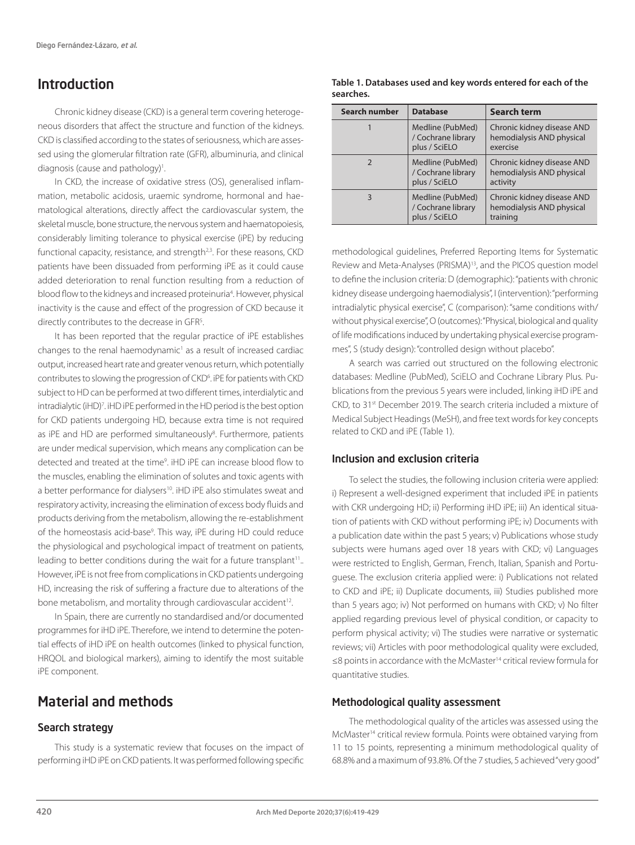# Introduction

Chronic kidney disease (CKD) is a general term covering heterogeneous disorders that affect the structure and function of the kidneys. CKD is classified according to the states of seriousness, which are assessed using the glomerular filtration rate (GFR), albuminuria, and clinical diagnosis (cause and pathology)<sup>1</sup>.

In CKD, the increase of oxidative stress (OS), generalised inflammation, metabolic acidosis, uraemic syndrome, hormonal and haematological alterations, directly affect the cardiovascular system, the skeletal muscle, bone structure, the nervous system and haematopoiesis, considerably limiting tolerance to physical exercise (iPE) by reducing functional capacity, resistance, and strength<sup>2,3</sup>. For these reasons, CKD patients have been dissuaded from performing iPE as it could cause added deterioration to renal function resulting from a reduction of blood flow to the kidneys and increased proteinuria<sup>4</sup>. However, physical inactivity is the cause and effect of the progression of CKD because it directly contributes to the decrease in GFR<sup>5</sup>.

It has been reported that the regular practice of iPE establishes changes to the renal haemodynamic<sup>1</sup> as a result of increased cardiac output, increased heart rate and greater venous return, which potentially contributes to slowing the progression of CKD<sup>6</sup>. iPE for patients with CKD subject to HD can be performed at two different times, interdialytic and intradialytic (iHD)<sup>7</sup>. iHD iPE performed in the HD period is the best option for CKD patients undergoing HD, because extra time is not required as iPE and HD are performed simultaneously<sup>8</sup>. Furthermore, patients are under medical supervision, which means any complication can be detected and treated at the time<sup>9</sup>. iHD iPE can increase blood flow to the muscles, enabling the elimination of solutes and toxic agents with a better performance for dialysers<sup>10</sup>. iHD iPE also stimulates sweat and respiratory activity, increasing the elimination of excess body fluids and products deriving from the metabolism, allowing the re-establishment of the homeostasis acid-base<sup>9</sup>. This way, iPE during HD could reduce the physiological and psychological impact of treatment on patients, leading to better conditions during the wait for a future transplant<sup>11</sup>... However, iPE is not free from complications in CKD patients undergoing HD, increasing the risk of suffering a fracture due to alterations of the bone metabolism, and mortality through cardiovascular accident<sup>12</sup>.

In Spain, there are currently no standardised and/or documented programmes for iHD iPE. Therefore, we intend to determine the potential effects of iHD iPE on health outcomes (linked to physical function, HRQOL and biological markers), aiming to identify the most suitable iPE component.

# Material and methods

# Search strategy

This study is a systematic review that focuses on the impact of performing iHD iPE on CKD patients. It was performed following specific

#### **Table 1. Databases used and key words entered for each of the searches.**

| Search number | <b>Database</b>                                         | <b>Search term</b>                                                  |
|---------------|---------------------------------------------------------|---------------------------------------------------------------------|
|               | Medline (PubMed)<br>/ Cochrane library<br>plus / SciELO | Chronic kidney disease AND<br>hemodialysis AND physical<br>exercise |
| $\mathcal{P}$ | Medline (PubMed)<br>/ Cochrane library<br>plus / SciELO | Chronic kidney disease AND<br>hemodialysis AND physical<br>activity |
|               | Medline (PubMed)<br>/ Cochrane library<br>plus / SciELO | Chronic kidney disease AND<br>hemodialysis AND physical<br>training |

methodological guidelines, Preferred Reporting Items for Systematic Review and Meta-Analyses (PRISMA)13, and the PICOS question model to define the inclusion criteria: D (demographic): "patients with chronic kidney disease undergoing haemodialysis", I (intervention): "performing intradialytic physical exercise", C (comparison): "same conditions with/ without physical exercise", O (outcomes): "Physical, biological and quality of life modifications induced by undertaking physical exercise programmes", S (study design): "controlled design without placebo".

A search was carried out structured on the following electronic databases: Medline (PubMed), SciELO and Cochrane Library Plus. Publications from the previous 5 years were included, linking iHD iPE and CKD, to 31st December 2019. The search criteria included a mixture of Medical Subject Headings (MeSH), and free text words for key concepts related to CKD and iPE (Table 1).

# Inclusion and exclusion criteria

To select the studies, the following inclusion criteria were applied: i) Represent a well-designed experiment that included iPE in patients with CKR undergoing HD; ii) Performing iHD iPE; iii) An identical situation of patients with CKD without performing iPE; iv) Documents with a publication date within the past 5 years; v) Publications whose study subjects were humans aged over 18 years with CKD; vi) Languages were restricted to English, German, French, Italian, Spanish and Portuguese. The exclusion criteria applied were: i) Publications not related to CKD and iPE; ii) Duplicate documents, iii) Studies published more than 5 years ago; iv) Not performed on humans with CKD; v) No filter applied regarding previous level of physical condition, or capacity to perform physical activity; vi) The studies were narrative or systematic reviews; vii) Articles with poor methodological quality were excluded, ≤8 points in accordance with the McMaster14 critical review formula for quantitative studies.

# Methodological quality assessment

The methodological quality of the articles was assessed using the McMaster<sup>14</sup> critical review formula. Points were obtained varying from 11 to 15 points, representing a minimum methodological quality of 68.8% and a maximum of 93.8%. Of the 7 studies, 5 achieved "very good"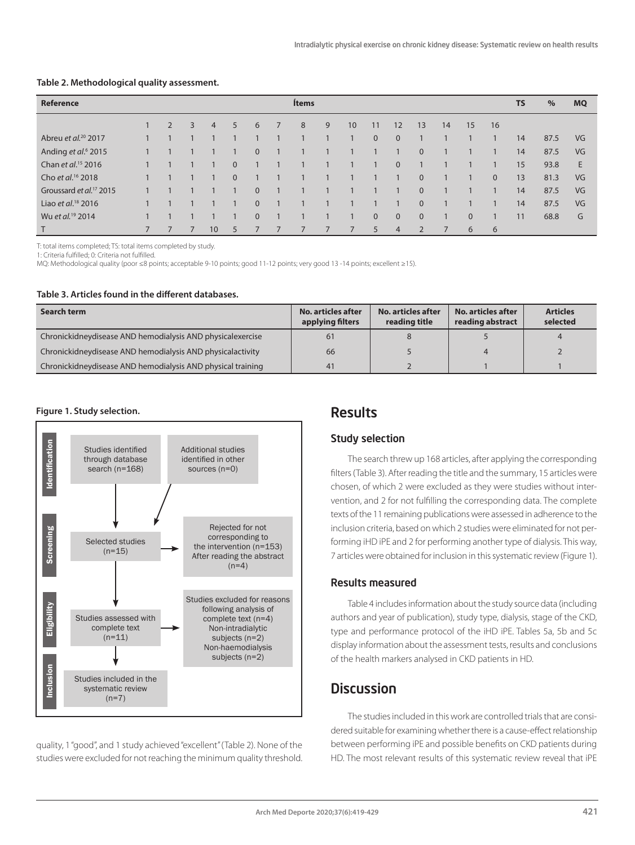| <b>Reference</b>                    |                |   |   |                 |              |          |              | <b>Ítems</b>   |   |                |              |                |                |    |          |              | <b>TS</b> | $\%$ | <b>MQ</b> |
|-------------------------------------|----------------|---|---|-----------------|--------------|----------|--------------|----------------|---|----------------|--------------|----------------|----------------|----|----------|--------------|-----------|------|-----------|
|                                     |                | 2 | 3 | $\overline{4}$  | 5            | 6        |              | 8              | 9 | 10             | 11           | 12             | 13             | 14 | 15       | 16           |           |      |           |
| Abreu et al. <sup>20</sup> 2017     |                |   |   |                 |              |          |              |                |   | $\mathbf{1}$   | $\mathbf{0}$ | $\overline{0}$ |                |    |          |              | 14        | 87.5 | VG        |
| Anding et al. <sup>6</sup> 2015     |                |   |   |                 |              | $\Omega$ |              |                |   |                |              |                | $\Omega$       |    |          |              | 14        | 87.5 | VG        |
| Chan et al. <sup>15</sup> 2016      |                |   |   |                 | $\mathbf{0}$ |          |              |                |   | $\mathbf{1}$   |              | $\overline{0}$ |                |    |          |              | 15        | 93.8 | E         |
| Cho et al. <sup>16</sup> 2018       |                |   |   |                 | $\mathbf{0}$ |          |              |                |   | $\mathbf{1}$   |              |                | $\mathbf{0}$   |    |          | $\mathbf{0}$ | 13        | 81.3 | VG        |
| Groussard et al. <sup>17</sup> 2015 |                |   |   |                 |              | $\Omega$ |              |                |   |                |              |                | $\Omega$       |    |          |              | 14        | 87.5 | VG        |
| Liao et al. <sup>18</sup> 2016      |                |   |   |                 |              | $\Omega$ | $\mathbf{1}$ |                |   |                |              |                | $\Omega$       |    |          |              | 14        | 87.5 | VG        |
| Wu et al. <sup>19</sup> 2014        |                |   |   |                 |              | $\Omega$ | $\mathbf{1}$ |                |   | $\mathbf{1}$   | $\mathbf{0}$ | $\overline{0}$ | $\mathbf{0}$   |    | $\Omega$ |              | 11        | 68.8 | G         |
| T                                   | $\overline{7}$ |   |   | 10 <sup>°</sup> | 5            |          |              | $\overline{7}$ |   | $\overline{7}$ | 5            | $\overline{4}$ | $\overline{2}$ | 7  | 6        | 6            |           |      |           |

#### **Table 2. Methodological quality assessment.**

T: total items completed; TS: total items completed by study.

1: Criteria fulfilled; 0: Criteria not fulfilled.

MQ: Methodological quality (poor ≤8 points; acceptable 9-10 points; good 11-12 points; very good 13 -14 points; excellent ≥15).

#### **Table 3. Articles found in the different databases.**

| Search term                                                  | No. articles after<br>applying filters | No. articles after<br>reading title | No. articles after<br>reading abstract | <b>Articles</b><br>selected |
|--------------------------------------------------------------|----------------------------------------|-------------------------------------|----------------------------------------|-----------------------------|
| Chronickidney disease AND hemodialysis AND physical exercise | 61                                     |                                     |                                        | $\overline{4}$              |
| Chronickidney disease AND hemodialysis AND physical activity | 66                                     |                                     | 4                                      |                             |
| Chronickidney disease AND hemodialysis AND physical training | 41                                     |                                     |                                        |                             |

#### **Figure 1. Study selection.**



quality, 1 "good", and 1 study achieved "excellent" (Table 2). None of the studies were excluded for not reaching the minimum quality threshold.

# Results

#### Study selection

The search threw up 168 articles, after applying the corresponding filters (Table 3). After reading the title and the summary, 15 articles were chosen, of which 2 were excluded as they were studies without intervention, and 2 for not fulfilling the corresponding data. The complete texts of the 11 remaining publications were assessed in adherence to the inclusion criteria, based on which 2 studies were eliminated for not performing iHD iPE and 2 for performing another type of dialysis. This way, 7 articles were obtained for inclusion in this systematic review (Figure 1).

#### Results measured

Table 4 includes information about the study source data (including authors and year of publication), study type, dialysis, stage of the CKD, type and performance protocol of the iHD iPE. Tables 5a, 5b and 5c display information about the assessment tests, results and conclusions of the health markers analysed in CKD patients in HD.

# **Discussion**

The studies included in this work are controlled trials that are considered suitable for examining whether there is a cause-effect relationship between performing iPE and possible benefits on CKD patients during HD. The most relevant results of this systematic review reveal that iPE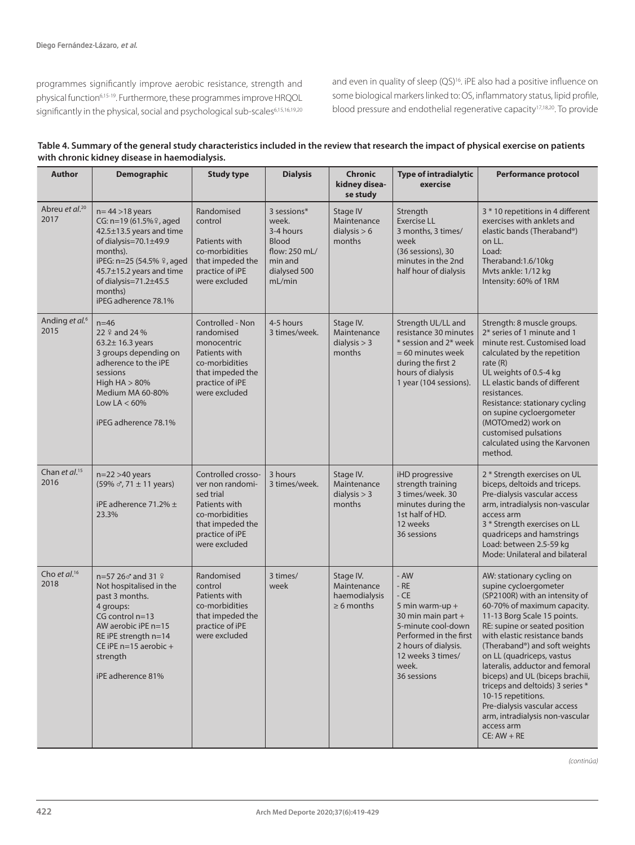programmes significantly improve aerobic resistance, strength and physical function<sup>6,15-19</sup>. Furthermore, these programmes improve HRQOL significantly in the physical, social and psychological sub-scales6,15,16,19,20 and even in quality of sleep (QS)<sup>16</sup>. iPE also had a positive influence on some biological markers linked to: OS, inflammatory status, lipid profile, blood pressure and endothelial regenerative capacity17,18,20. To provide

| Table 4. Summary of the general study characteristics included in the review that research the impact of physical exercise on patients |
|----------------------------------------------------------------------------------------------------------------------------------------|
| with chronic kidney disease in haemodialysis.                                                                                          |

| <b>Author</b>                      | <b>Demographic</b>                                                                                                                                                                                                                                    | <b>Study type</b>                                                                                                                              | <b>Dialysis</b>                                                                                         | Chronic<br>kidney disea-<br>se study                         | <b>Type of intradialytic</b><br>exercise                                                                                                                                               | <b>Performance protocol</b>                                                                                                                                                                                                                                                                                                                                                                                                                                                                                          |
|------------------------------------|-------------------------------------------------------------------------------------------------------------------------------------------------------------------------------------------------------------------------------------------------------|------------------------------------------------------------------------------------------------------------------------------------------------|---------------------------------------------------------------------------------------------------------|--------------------------------------------------------------|----------------------------------------------------------------------------------------------------------------------------------------------------------------------------------------|----------------------------------------------------------------------------------------------------------------------------------------------------------------------------------------------------------------------------------------------------------------------------------------------------------------------------------------------------------------------------------------------------------------------------------------------------------------------------------------------------------------------|
| Abreu et al. <sup>20</sup><br>2017 | $n=44 > 18$ years<br>CG: n=19 (61.5% <sup>9</sup> , aged<br>42.5±13.5 years and time<br>of dialysis= $70.1 \pm 49.9$<br>months).<br>iPEG: n=25 (54.5% º, aged<br>45.7±15.2 years and time<br>of dialysis=71.2±45.5<br>months)<br>iPEG adherence 78.1% | Randomised<br>control<br>Patients with<br>co-morbidities<br>that impeded the<br>practice of iPE<br>were excluded                               | 3 sessions*<br>week.<br>3-4 hours<br><b>Blood</b><br>flow: 250 mL/<br>min and<br>dialysed 500<br>mL/min | Stage IV<br>Maintenance<br>dialysis $> 6$<br>months          | Strength<br><b>Exercise LL</b><br>3 months, 3 times/<br>week<br>(36 sessions), 30<br>minutes in the 2nd<br>half hour of dialysis                                                       | 3 * 10 repetitions in 4 different<br>exercises with anklets and<br>elastic bands (Theraband®)<br>on LL.<br>Load:<br>Theraband:1.6/10kg<br>Mvts ankle: 1/12 kg<br>Intensity: 60% of 1RM                                                                                                                                                                                                                                                                                                                               |
| Anding et al. <sup>6</sup><br>2015 | $n=46$<br>22 º and 24 %<br>$63.2 \pm 16.3$ years<br>3 groups depending on<br>adherence to the iPE<br>sessions<br>High $HA > 80%$<br>Medium MA 60-80%<br>Low LA $< 60\%$<br>iPEG adherence 78.1%                                                       | Controlled - Non<br>randomised<br>monocentric<br>Patients with<br>co-morbidities<br>that impeded the<br>practice of iPE<br>were excluded       | 4-5 hours<br>3 times/week.                                                                              | Stage IV.<br>Maintenance<br>dialysis $> 3$<br>months         | Strength UL/LL and<br>resistance 30 minutes<br>* session and 2* week<br>= 60 minutes week<br>during the first 2<br>hours of dialysis<br>1 year (104 sessions).                         | Strength: 8 muscle groups.<br>2* series of 1 minute and 1<br>minute rest. Customised load<br>calculated by the repetition<br>rate $(R)$<br>UL weights of 0.5-4 kg<br>LL elastic bands of different<br>resistances.<br>Resistance: stationary cycling<br>on supine cycloergometer<br>(MOTOmed2) work on<br>customised pulsations<br>calculated using the Karvonen<br>method.                                                                                                                                          |
| Chan et al. <sup>15</sup><br>2016  | $n=22>40$ years<br>$(59\% \, \sigma, 71 \pm 11 \, \text{years})$<br>iPE adherence 71.2% ±<br>23.3%                                                                                                                                                    | Controlled crosso-<br>ver non randomi-<br>sed trial<br>Patients with<br>co-morbidities<br>that impeded the<br>practice of iPE<br>were excluded | 3 hours<br>3 times/week.                                                                                | Stage IV.<br>Maintenance<br>dialysis $> 3$<br>months         | iHD progressive<br>strength training<br>3 times/week. 30<br>minutes during the<br>1st half of HD.<br>12 weeks<br>36 sessions                                                           | 2 * Strength exercises on UL<br>biceps, deltoids and triceps.<br>Pre-dialysis vascular access<br>arm, intradialysis non-vascular<br>access arm<br>3 * Strength exercises on LL<br>quadriceps and hamstrings<br>Load: between 2.5-59 kg<br>Mode: Unilateral and bilateral                                                                                                                                                                                                                                             |
| Cho et $al.^{16}$<br>2018          | n=57 26♂ and 31 ♀<br>Not hospitalised in the<br>past 3 months.<br>4 groups:<br>CG control n=13<br>AW aerobic iPE n=15<br>RE iPE strength n=14<br>CE iPE $n=15$ aerobic $+$<br>strength<br>iPE adherence 81%                                           | Randomised<br>control<br>Patients with<br>co-morbidities<br>that impeded the<br>practice of iPE<br>were excluded                               | 3 times/<br>week                                                                                        | Stage IV.<br>Maintenance<br>haemodialysis<br>$\geq 6$ months | - AW<br>$-RE$<br>$-CE$<br>5 min warm-up $+$<br>30 min main part +<br>5-minute cool-down<br>Performed in the first<br>2 hours of dialysis.<br>12 weeks 3 times/<br>week.<br>36 sessions | AW: stationary cycling on<br>supine cycloergometer<br>(SP2100R) with an intensity of<br>60-70% of maximum capacity.<br>11-13 Borg Scale 15 points.<br>RE: supine or seated position<br>with elastic resistance bands<br>(Theraband®) and soft weights<br>on LL (quadriceps, vastus<br>lateralis, adductor and femoral<br>biceps) and UL (biceps brachii,<br>triceps and deltoids) 3 series *<br>10-15 repetitions.<br>Pre-dialysis vascular access<br>arm, intradialysis non-vascular<br>access arm<br>$CE: AW + RE$ |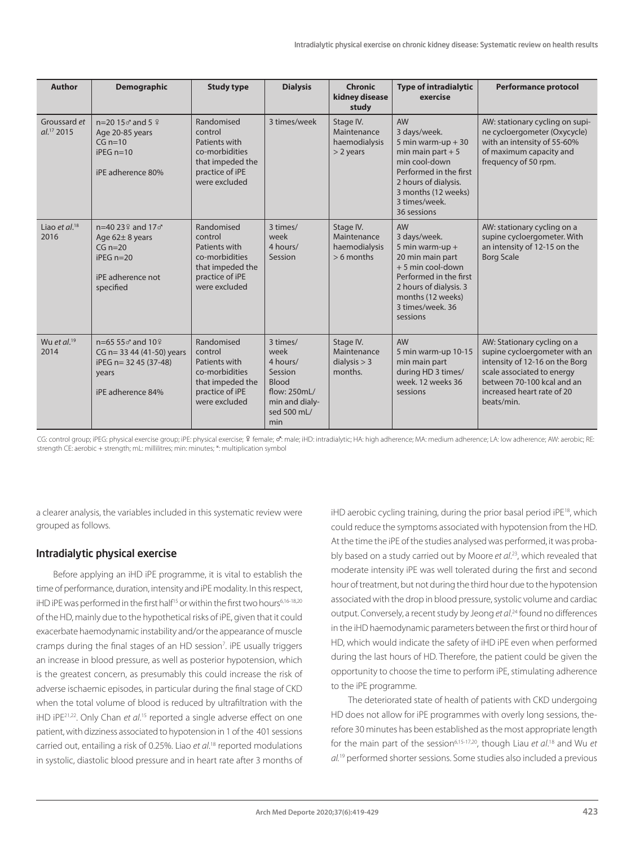| <b>Author</b>                   | <b>Demographic</b>                                                                                                 | <b>Study type</b>                                                                                                | <b>Dialysis</b>                                                                                                 | <b>Chronic</b><br>kidney disease<br>study                 | <b>Type of intradialytic</b><br>exercise                                                                                                                                                         | <b>Performance protocol</b>                                                                                                                                                                            |
|---------------------------------|--------------------------------------------------------------------------------------------------------------------|------------------------------------------------------------------------------------------------------------------|-----------------------------------------------------------------------------------------------------------------|-----------------------------------------------------------|--------------------------------------------------------------------------------------------------------------------------------------------------------------------------------------------------|--------------------------------------------------------------------------------------------------------------------------------------------------------------------------------------------------------|
| Groussard et<br>$al.^{17}$ 2015 | $n=20$ 15 $\sigma$ and 5 $\frac{9}{2}$<br>Age 20-85 years<br>$CG n=10$<br>$iPEG n=10$<br>iPE adherence 80%         | Randomised<br>control<br>Patients with<br>co-morbidities<br>that impeded the<br>practice of iPE<br>were excluded | 3 times/week                                                                                                    | Stage IV.<br>Maintenance<br>haemodialysis<br>$>$ 2 years  | <b>AW</b><br>3 days/week.<br>5 min warm-up $+30$<br>min main part $+5$<br>min cool-down<br>Performed in the first<br>2 hours of dialysis.<br>3 months (12 weeks)<br>3 times/week.<br>36 sessions | AW: stationary cycling on supi-<br>ne cycloergometer (Oxycycle)<br>with an intensity of 55-60%<br>of maximum capacity and<br>frequency of 50 rpm.                                                      |
| Liao et $al^{18}$<br>2016       | $n=40.23$ and $17\sigma$<br>Age $62 \pm 8$ years<br>$CG n=20$<br>$iPFG n=20$<br>iPE adherence not<br>specified     | Randomised<br>control<br>Patients with<br>co-morbidities<br>that impeded the<br>practice of iPE<br>were excluded | 3 times/<br>week<br>4 hours/<br>Session                                                                         | Stage IV.<br>Maintenance<br>haemodialysis<br>$> 6$ months | <b>AW</b><br>3 days/week.<br>5 min warm-up +<br>20 min main part<br>$+5$ min cool-down<br>Performed in the first<br>2 hours of dialysis. 3<br>months (12 weeks)<br>3 times/week, 36<br>sessions  | AW: stationary cycling on a<br>supine cycloergometer. With<br>an intensity of 12-15 on the<br><b>Borg Scale</b>                                                                                        |
| Wu et $al^{19}$<br>2014         | $n = 6555$ and $10\frac{9}{3}$<br>CG n= 33 44 (41-50) years<br>iPEG n= 32 45 (37-48)<br>years<br>iPE adherence 84% | Randomised<br>control<br>Patients with<br>co-morbidities<br>that impeded the<br>practice of iPE<br>were excluded | 3 times/<br>week<br>4 hours/<br>Session<br><b>Blood</b><br>flow: 250mL/<br>min and dialy-<br>sed 500 mL/<br>min | Stage IV.<br>Maintenance<br>dialysis $> 3$<br>months.     | <b>AW</b><br>5 min warm-up 10-15<br>min main part<br>during HD 3 times/<br>week, 12 weeks 36<br>sessions                                                                                         | AW: Stationary cycling on a<br>supine cycloergometer with an<br>intensity of 12-16 on the Borg<br>scale associated to energy<br>between 70-100 kcal and an<br>increased heart rate of 20<br>beats/min. |

CG: control group; iPEG: physical exercise group; iPE: physical exercise; ? female; or: male; iHD: intradialytic; HA: high adherence; MA: medium adherence; LA: low adherence; AW: aerobic; RE: strength CE: aerobic + strength; mL: millilitres; min: minutes; \*: multiplication symbol

a clearer analysis, the variables included in this systematic review were grouped as follows.

# Intradialytic physical exercise

Before applying an iHD iPE programme, it is vital to establish the time of performance, duration, intensity and iPE modality. In this respect, iHD iPE was performed in the first half<sup>15</sup> or within the first two hours<sup>6,16-18,20</sup> of the HD, mainly due to the hypothetical risks of iPE, given that it could exacerbate haemodynamic instability and/or the appearance of muscle cramps during the final stages of an HD session<sup>7</sup>. iPE usually triggers an increase in blood pressure, as well as posterior hypotension, which is the greatest concern, as presumably this could increase the risk of adverse ischaemic episodes, in particular during the final stage of CKD when the total volume of blood is reduced by ultrafiltration with the iHD iPE<sup>21,22</sup>. Only Chan *et al*.<sup>15</sup> reported a single adverse effect on one patient, with dizziness associated to hypotension in 1 of the 401 sessions carried out, entailing a risk of 0.25%. Liao *et al*. 18 reported modulations in systolic, diastolic blood pressure and in heart rate after 3 months of iHD aerobic cycling training, during the prior basal period iPE18, which could reduce the symptoms associated with hypotension from the HD. At the time the iPE of the studies analysed was performed, it was probably based on a study carried out by Moore *et al*. 23, which revealed that moderate intensity iPE was well tolerated during the first and second hour of treatment, but not during the third hour due to the hypotension associated with the drop in blood pressure, systolic volume and cardiac output. Conversely, a recent study by Jeong *et al*. 24 found no differences in the iHD haemodynamic parameters between the first or third hour of HD, which would indicate the safety of iHD iPE even when performed during the last hours of HD. Therefore, the patient could be given the opportunity to choose the time to perform iPE, stimulating adherence to the iPE programme.

The deteriorated state of health of patients with CKD undergoing HD does not allow for iPE programmes with overly long sessions, therefore 30 minutes has been established as the most appropriate length for the main part of the session<sup>6,15-17,20</sup>, though Liau et al.<sup>18</sup> and Wu et *al.*19 performed shorter sessions. Some studies also included a previous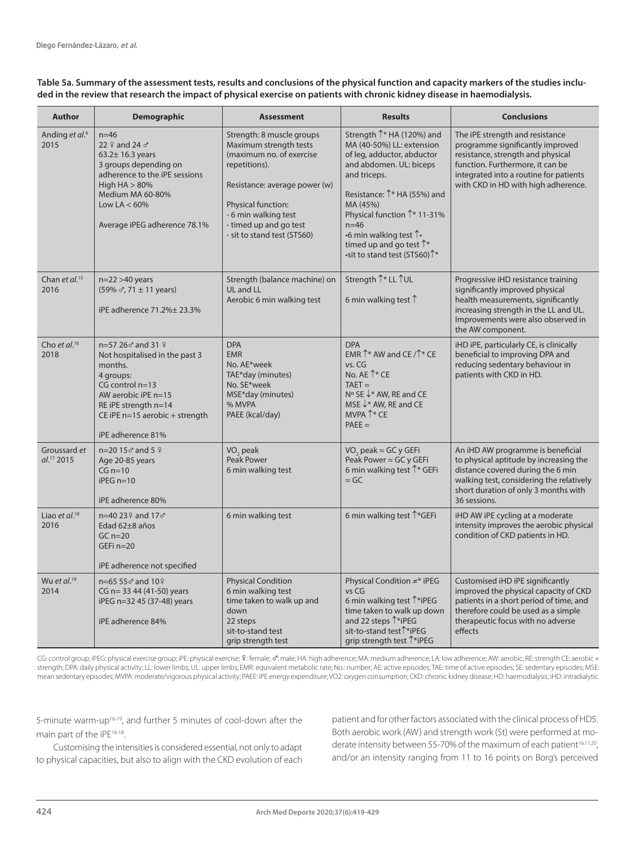#### **Table 5a. Summary of the assessment tests, results and conclusions of the physical function and capacity markers of the studies included in the review that research the impact of physical exercise on patients with chronic kidney disease in haemodialysis.**

| <b>Author</b>                          | <b>Demographic</b>                                                                                                                                                                                       | <b>Assessment</b>                                                                                                                                                                                                                        | <b>Results</b>                                                                                                                                                                                                                                                                                                                                                             | <b>Conclusions</b>                                                                                                                                                                                                            |
|----------------------------------------|----------------------------------------------------------------------------------------------------------------------------------------------------------------------------------------------------------|------------------------------------------------------------------------------------------------------------------------------------------------------------------------------------------------------------------------------------------|----------------------------------------------------------------------------------------------------------------------------------------------------------------------------------------------------------------------------------------------------------------------------------------------------------------------------------------------------------------------------|-------------------------------------------------------------------------------------------------------------------------------------------------------------------------------------------------------------------------------|
| Anding et al. <sup>6</sup><br>2015     | $n = 46$<br>22 º and 24 o'<br>$63.2 \pm 16.3$ years<br>3 groups depending on<br>adherence to the iPE sessions<br>High $HA > 80\%$<br>Medium MA 60-80%<br>Low LA $< 60\%$<br>Average iPEG adherence 78.1% | Strength: 8 muscle groups<br>Maximum strength tests<br>(maximum no. of exercise<br>repetitions).<br>Resistance: average power (w)<br>Physical function:<br>- 6 min walking test<br>- timed up and go test<br>- sit to stand test (STS60) | Strength $\uparrow^*$ HA (120%) and<br>MA (40-50%) LL: extension<br>of leg, adductor, abductor<br>and abdomen. UL: biceps<br>and triceps.<br>Resistance: 1 <sup>*</sup> HA (55%) and<br>MA (45%)<br>Physical function 1 <sup>*</sup> 11-31%<br>$n = 46$<br>•6 min walking test $\uparrow$<br>timed up and go test $\uparrow^*$<br>•sit to stand test (STS60) <sup>1*</sup> | The iPE strength and resistance<br>programme significantly improved<br>resistance, strength and physical<br>function. Furthermore, it can be<br>integrated into a routine for patients<br>with CKD in HD with high adherence. |
| Chan et al. <sup>15</sup><br>2016      | $n=22>40$ years<br>$(59\% \, \sigma, 71 \pm 11 \, \text{years})$<br>iPE adherence 71.2% ± 23.3%                                                                                                          | Strength (balance machine) on<br>UL and LL<br>Aerobic 6 min walking test                                                                                                                                                                 | Strength 1 <sup>*</sup> LL 1UL<br>6 min walking test $\uparrow$                                                                                                                                                                                                                                                                                                            | Progressive iHD resistance training<br>significantly improved physical<br>health measurements, significantly<br>increasing strength in the LL and UL.<br>Improvements were also observed in<br>the AW component.              |
| Cho et al. <sup>16</sup><br>2018       | n=57 26♂ and 31 ♀<br>Not hospitalised in the past 3<br>months.<br>4 groups:<br>CG control n=13<br>AW aerobic iPE n=15<br>RE iPE strength n=14<br>CE iPE n=15 aerobic + strength<br>iPE adherence 81%     | <b>DPA</b><br><b>EMR</b><br>No. AE*week<br>TAE*day (minutes)<br>No. SE*week<br>MSE*day (minutes)<br>% MVPA<br>PAEE (kcal/day)                                                                                                            | <b>DPA</b><br>EMR $\uparrow^*$ AW and CE / $\uparrow^*$ CE<br>vs. CG<br>No. AE <sup>1</sup> * CE<br>TAET $\approx$<br>N° SE $\downarrow^*$ AW, RE and CE<br>MSE $\downarrow^*$ AW, RE and CE<br>MVPA ↑* CE<br>PAEE $\approx$                                                                                                                                               | iHD iPE, particularly CE, is clinically<br>beneficial to improving DPA and<br>reducing sedentary behaviour in<br>patients with CKD in HD.                                                                                     |
| Groussard et<br>al. <sup>17</sup> 2015 | $n=20$ 15 $\sigma$ and 5 $\frac{9}{2}$<br>Age 20-85 years<br>$CG n=10$<br>$iPEG n=10$<br>iPE adherence 80%                                                                                               | VO <sub>2</sub> peak<br>Peak Power<br>6 min walking test                                                                                                                                                                                 | VO <sub>2</sub> peak ≈ GC y GEFi<br>Peak Power $\approx$ GC y GEFi<br>6 min walking test <sup>1</sup> * GEFi<br>$\approx$ GC                                                                                                                                                                                                                                               | An iHD AW programme is beneficial<br>to physical aptitude by increasing the<br>distance covered during the 6 min<br>walking test, considering the relatively<br>short duration of only 3 months with<br>36 sessions.          |
| Liao et $al.^{18}$<br>2016             | n=40 23 º and 17 o'<br>Edad 62±8 años<br>$GCn=20$<br>GEFi n=20<br>iPE adherence not specified                                                                                                            | 6 min walking test                                                                                                                                                                                                                       | 6 min walking test <sup>1</sup> *GEFi                                                                                                                                                                                                                                                                                                                                      | iHD AW iPE cycling at a moderate<br>intensity improves the aerobic physical<br>condition of CKD patients in HD.                                                                                                               |
| Wu et al. $19$<br>2014                 | $n = 6555$ $\sigma$ and $10\frac{9}{3}$<br>CG n= 33 44 (41-50) years<br>iPEG n=32 45 (37-48) years<br>iPE adherence 84%                                                                                  | <b>Physical Condition</b><br>6 min walking test<br>time taken to walk up and<br>down<br>22 steps<br>sit-to-stand test<br>grip strength test                                                                                              | Physical Condition ≠* iPEG<br>vs CG<br>6 min walking test $\uparrow$ *iPEG<br>time taken to walk up down<br>and 22 steps $\hat{\mathcal{T}}^*$ iPEG<br>sit-to-stand test <sup>1</sup> *iPEG<br>grip strength test <sup>1</sup> *iPEG                                                                                                                                       | Customised iHD iPE significantly<br>improved the physical capacity of CKD<br>patients in a short period of time, and<br>therefore could be used as a simple<br>therapeutic focus with no adverse<br>effects                   |

CG: control group; iPEG: physical exercise group; iPE: physical exercise; º: female; o'': male; HA: high adherence; MA: medium adherence; LA: low adherence; AW: aerobic; RE: strength CE: aerobic + strength; DPA: daily physical activity; LL: lower limbs; UL: upper limbs; EMR: equivalent metabolic rate; No.: number; AE: active episodes; TAE: time of active episodes; SE: sedentary episodes; MSE: mean sedentary episodes; MVPA: moderate/vigorous physical activity; PAEE: iPE energy expenditure; VO2: oxygen consumption; CKD: chronic kidney disease; HD: haemodialysis; iHD: intradialytic.

5-minute warm-up16-19, and further 5 minutes of cool-down after the main part of the iPE<sup>16-18</sup>.

Customising the intensities is considered essential, not only to adapt to physical capacities, but also to align with the CKD evolution of each patient and for other factors associated with the clinical process of HD5. Both aerobic work (AW) and strength work (St) were performed at moderate intensity between 55-70% of the maximum of each patient<sup>16,17,20</sup>, and/or an intensity ranging from 11 to 16 points on Borg's perceived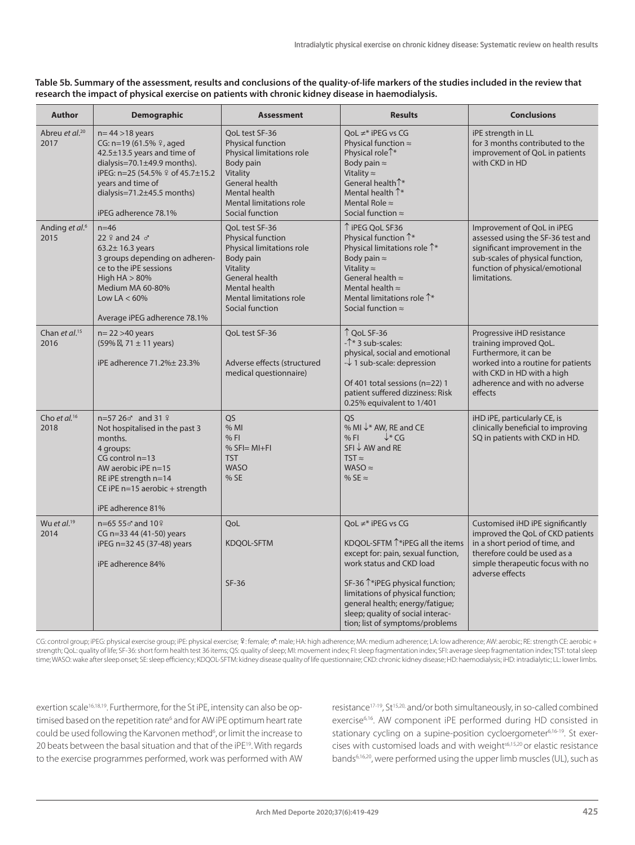| Table 5b. Summary of the assessment, results and conclusions of the quality-of-life markers of the studies included in the review that |
|----------------------------------------------------------------------------------------------------------------------------------------|
| research the impact of physical exercise on patients with chronic kidney disease in haemodialysis.                                     |

| <b>Author</b>                      | Demographic                                                                                                                                                                                                                               | <b>Assessment</b>                                                                                                                                                                 | <b>Results</b>                                                                                                                                                                                                                                                                                                                        | <b>Conclusions</b>                                                                                                                                                                             |
|------------------------------------|-------------------------------------------------------------------------------------------------------------------------------------------------------------------------------------------------------------------------------------------|-----------------------------------------------------------------------------------------------------------------------------------------------------------------------------------|---------------------------------------------------------------------------------------------------------------------------------------------------------------------------------------------------------------------------------------------------------------------------------------------------------------------------------------|------------------------------------------------------------------------------------------------------------------------------------------------------------------------------------------------|
| Abreu et al. <sup>20</sup><br>2017 | $n = 44 > 18$ years<br>CG: n=19 (61.5% º, aged<br>42.5±13.5 years and time of<br>dialysis= $70.1 \pm 49.9$ months).<br>iPEG: n=25 (54.5% º of 45.7±15.2<br>years and time of<br>dialysis= $71.2 \pm 45.5$ months)<br>iPEG adherence 78.1% | QoL test SF-36<br>Physical function<br>Physical limitations role<br>Body pain<br>Vitality<br>General health<br>Mental health<br><b>Mental limitations role</b><br>Social function | QoL $\neq^*$ iPEG vs CG<br>Physical function $\approx$<br>Physical role <sup>1*</sup><br>Body pain $\approx$<br>Vitality $\approx$<br>General health <sup>+*</sup><br>Mental health $\uparrow^*$<br>Mental Role $\approx$<br>Social function $\approx$                                                                                | iPE strength in LL<br>for 3 months contributed to the<br>improvement of QoL in patients<br>with CKD in HD                                                                                      |
| Anding et al. <sup>6</sup><br>2015 | $n = 46$<br>22 $9$ and 24 $\sigma$<br>$63.2 \pm 16.3$ years<br>3 groups depending on adheren-<br>ce to the iPE sessions<br>High $HA > 80%$<br>Medium MA 60-80%<br>Low LA $< 60\%$<br>Average iPEG adherence 78.1%                         | QoL test SF-36<br>Physical function<br>Physical limitations role<br>Body pain<br>Vitality<br>General health<br>Mental health<br>Mental limitations role<br>Social function        | ↑ iPEG QoL SF36<br>Physical function $\uparrow^*$<br>Physical limitations role 1*<br>Body pain $\approx$<br>Vitality $\approx$<br>General health $\approx$<br>Mental health $\approx$<br>Mental limitations role $\hat{\Gamma}^*$<br>Social function $\approx$                                                                        | Improvement of QoL in iPEG<br>assessed using the SF-36 test and<br>significant improvement in the<br>sub-scales of physical function,<br>function of physical/emotional<br>limitations.        |
| Chan et al. <sup>15</sup><br>2016  | $n=22>40$ years<br>$(59\%$ , 71 ± 11 years)<br>iPE adherence 71.2% ± 23.3%                                                                                                                                                                | QoL test SF-36<br>Adverse effects (structured<br>medical questionnaire)                                                                                                           | ↑ QoL SF-36<br>$-\uparrow$ 3 sub-scales:<br>physical, social and emotional<br>$-\sqrt{1}$ sub-scale: depression<br>Of 401 total sessions (n=22) 1<br>patient suffered dizziness: Risk<br>0.25% equivalent to 1/401                                                                                                                    | Progressive iHD resistance<br>training improved QoL.<br>Furthermore, it can be<br>worked into a routine for patients<br>with CKD in HD with a high<br>adherence and with no adverse<br>effects |
| Cho et al. <sup>16</sup><br>2018   | $n=5726$ and 31 $\frac{9}{7}$<br>Not hospitalised in the past 3<br>months.<br>4 groups:<br>$CG$ control $n=13$<br>AW aerobic iPE n=15<br>RE iPE strength n=14<br>CE iPE $n=15$ aerobic + strength<br>iPE adherence 81%                    | QS<br>% MI<br>% F1<br>$% SF = MI + FI$<br><b>TST</b><br><b>WASO</b><br>% SE                                                                                                       | <b>OS</b><br>% MI $\downarrow^*$ AW, RE and CE<br>$\downarrow^* CG$<br>% F1<br>SFI↓ AW and RE<br>$TST \approx$<br>WASO $\approx$<br>% SE $\approx$                                                                                                                                                                                    | iHD iPE, particularly CE, is<br>clinically beneficial to improving<br>SQ in patients with CKD in HD.                                                                                           |
| Wu et $al.^{19}$<br>2014           | $n = 6555$ and $10\frac{9}{3}$<br>CG n=33 44 (41-50) years<br>iPEG n=32 45 (37-48) years<br>iPE adherence 84%                                                                                                                             | QoL<br>KDQOL-SFTM<br>$SF-36$                                                                                                                                                      | QoL $\neq^*$ iPEG vs CG<br>KDQOL-SFTM <sup>1*</sup> iPEG all the items<br>except for: pain, sexual function,<br>work status and CKD load<br>SF-36 $\uparrow$ *iPEG physical function;<br>limitations of physical function;<br>general health; energy/fatigue;<br>sleep; quality of social interac-<br>tion; list of symptoms/problems | Customised iHD iPE significantly<br>improved the QoL of CKD patients<br>in a short period of time, and<br>therefore could be used as a<br>simple therapeutic focus with no<br>adverse effects  |

CG: control group; iPEG: physical exercise group; iPE: physical exercise; ?: female; o': male; HA: high adherence; MA: medium adherence; LA: low adherence; AW: aerobic; RE: strength CE: aerobic + strength; QoL: quality of life; SF-36: short form health test 36 items; QS: quality of sleep; MI: movement index; FI: sleep fragmentation index; SFI: average sleep fragmentation index; TST: total sleep time; WASO: wake after sleep onset; SE: sleep efficiency; KDQOL-SFTM: kidney disease quality of life questionnaire; CKD: chronic kidney disease; HD: haemodialysis; iHD: intradialytic; LL: lower limbs.

exertion scale<sup>16,18,19</sup>. Furthermore, for the St iPE, intensity can also be optimised based on the repetition rate<sup>6</sup> and for AW iPE optimum heart rate could be used following the Karvonen method<sup>6</sup>, or limit the increase to 20 beats between the basal situation and that of the iPE<sup>19</sup>. With regards to the exercise programmes performed, work was performed with AW

resistance<sup>17-19</sup>, St<sup>15,20,</sup> and/or both simultaneously, in so-called combined exercise6,16. AW component iPE performed during HD consisted in stationary cycling on a supine-position cycloergometer<sup>6,16-19</sup>. St exercises with customised loads and with weight<sup>56,15,20</sup> or elastic resistance bands6,16,20, were performed using the upper limb muscles (UL), such as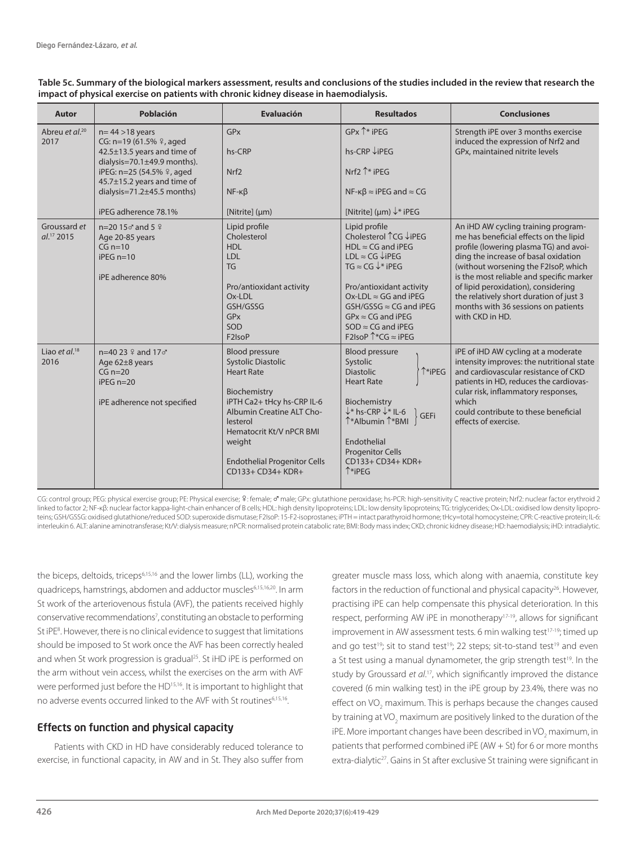| <b>Autor</b>                           | Población                                                                                                                                                                                                                                    | <b>Evaluación</b>                                                                                                                                                                                                                                                       | <b>Resultados</b>                                                                                                                                                                                                                                                                                                                               | <b>Conclusiones</b>                                                                                                                                                                                                                                                                                                                                                                             |
|----------------------------------------|----------------------------------------------------------------------------------------------------------------------------------------------------------------------------------------------------------------------------------------------|-------------------------------------------------------------------------------------------------------------------------------------------------------------------------------------------------------------------------------------------------------------------------|-------------------------------------------------------------------------------------------------------------------------------------------------------------------------------------------------------------------------------------------------------------------------------------------------------------------------------------------------|-------------------------------------------------------------------------------------------------------------------------------------------------------------------------------------------------------------------------------------------------------------------------------------------------------------------------------------------------------------------------------------------------|
| Abreu et al. <sup>20</sup><br>2017     | $n = 44 > 18$ years<br>CG: n=19 (61.5% º, aged<br>42.5±13.5 years and time of<br>dialysis= $70.1 \pm 49.9$ months).<br>iPEG: n=25 (54.5% º, aged<br>45.7±15.2 years and time of<br>dialysis= $71.2 \pm 45.5$ months)<br>iPEG adherence 78.1% | <b>GP<sub>x</sub></b><br>hs-CRP<br>Nrf <sub>2</sub><br>$NF - K\beta$<br>[Nitrite] (µm)                                                                                                                                                                                  | $GPx$ $^*$ iPEG<br>hs-CRP ↓iPEG<br>Nrf2 $\uparrow$ * iPEG<br>$NF$ - $\kappa\beta \approx$ iPEG and $\approx$ CG<br>[Nitrite] (µm) $\downarrow^*$ iPEG                                                                                                                                                                                           | Strength iPE over 3 months exercise<br>induced the expression of Nrf2 and<br>GPx, maintained nitrite levels                                                                                                                                                                                                                                                                                     |
| Groussard et<br>al. <sup>17</sup> 2015 | $n=20$ 15 $\sigma$ and 5 $\frac{6}{3}$<br>Age 20-85 years<br>$CG n=10$<br>$iPEG n=10$<br>iPE adherence 80%                                                                                                                                   | Lipid profile<br>Cholesterol<br><b>HDL</b><br><b>LDL</b><br><b>TG</b><br>Pro/antioxidant activity<br>Ox-LDL<br>GSH/GSSG<br>GPx<br>SOD<br>F <sub>2</sub> IsoP                                                                                                            | Lipid profile<br>Cholesterol ↑ CG ↓iPEG<br>$HDL \approx CG$ and iPEG<br>$LDL \approx CG \downarrow iPEG$<br>TG $\approx$ CG $\downarrow^*$ iPEG<br>Pro/antioxidant activity<br>Ox-LDL $\approx$ GG and iPEG<br>$GSH/GSSG \approx CG$ and iPEG<br>$GPx \approx CG$ and iPEG<br>$SOD \approx CG$ and iPEG<br>F2IsoP $\uparrow$ *CG $\approx$ iPEG | An iHD AW cycling training program-<br>me has beneficial effects on the lipid<br>profile (lowering plasma TG) and avoi-<br>ding the increase of basal oxidation<br>(without worsening the F2IsoP, which<br>is the most reliable and specific marker<br>of lipid peroxidation), considering<br>the relatively short duration of just 3<br>months with 36 sessions on patients<br>with CKD in HD. |
| Liao et $al^{18}$<br>2016              | $n=40.23$ $\frac{9}{2}$ and 17 $\sigma$<br>Age 62±8 years<br>$CG n=20$<br>$iPEG n=20$<br>iPE adherence not specified                                                                                                                         | <b>Blood pressure</b><br><b>Systolic Diastolic</b><br><b>Heart Rate</b><br>Biochemistry<br>iPTH Ca2+ tHcy hs-CRP IL-6<br><b>Albumin Creatine ALT Cho-</b><br>lesterol<br>Hematocrit Kt/V nPCR BMI<br>weight<br><b>Endothelial Progenitor Cells</b><br>CD133+ CD34+ KDR+ | <b>Blood pressure</b><br>Systolic<br>↑*iPEG<br><b>Diastolic</b><br><b>Heart Rate</b><br>Biochemistry<br>$\downarrow^*$ hs-CRP $\downarrow^*$ IL-6<br><b>GEFi</b><br>$\uparrow^*$ Albumin $\uparrow^*$ BMI<br>Endothelial<br><b>Progenitor Cells</b><br>CD133+ CD34+ KDR+<br>$^*$ iPEG                                                           | iPE of iHD AW cycling at a moderate<br>intensity improves: the nutritional state<br>and cardiovascular resistance of CKD<br>patients in HD, reduces the cardiovas-<br>cular risk, inflammatory responses,<br>which<br>could contribute to these beneficial<br>effects of exercise.                                                                                                              |

**Table 5c. Summary of the biological markers assessment, results and conclusions of the studies included in the review that research the impact of physical exercise on patients with chronic kidney disease in haemodialysis.**

CG: control group; PEG: physical exercise group; PE: Physical exercise; º: female; o male; GPx: glutathione peroxidase; hs-PCR: high-sensitivity C reactive protein; Nrf2: nuclear factor erythroid 2 linked to factor 2; NF-κβ: nuclear factor kappa-light-chain enhancer of B cells; HDL: high density lipoproteins; LDL: low density lipoproteins; TG: triglycerides; Ox-LDL: oxidised low density lipoproteins; GSH/GSSG: oxidised glutathione/reduced SOD: superoxide dismutase; F2IsoP: 15-F2-isoprostanes; iPTH = intact parathyroid hormone; tHcy=total homocysteine; CPR: C-reactive protein; IL-6: interleukin 6. ALT: alanine aminotransferase; Kt/V: dialysis measure; nPCR: normalised protein catabolic rate; BMI: Body mass index; CKD; chronic kidney disease; HD: haemodialysis; iHD: intradialytic.

the biceps, deltoids, triceps6,15,16 and the lower limbs (LL), working the quadriceps, hamstrings, abdomen and adductor muscles6,15,16,20. In arm St work of the arteriovenous fistula (AVF), the patients received highly conservative recommendations<sup>7</sup>, constituting an obstacle to performing St iPE<sup>8</sup>. However, there is no clinical evidence to suggest that limitations should be imposed to St work once the AVF has been correctly healed and when St work progression is gradual<sup>25</sup>. St iHD iPE is performed on the arm without vein access, whilst the exercises on the arm with AVF were performed just before the HD<sup>15,16</sup>. It is important to highlight that no adverse events occurred linked to the AVF with St routines6,15,16.

# Effects on function and physical capacity

Patients with CKD in HD have considerably reduced tolerance to exercise, in functional capacity, in AW and in St. They also suffer from greater muscle mass loss, which along with anaemia, constitute key factors in the reduction of functional and physical capacity<sup>26</sup>. However, practising iPE can help compensate this physical deterioration. In this respect, performing AW iPE in monotherapy<sup>17-19</sup>, allows for significant improvement in AW assessment tests. 6 min walking test<sup>17-19</sup>; timed up and go test<sup>19</sup>; sit to stand test<sup>19</sup>; 22 steps; sit-to-stand test<sup>19</sup> and even a St test using a manual dynamometer, the grip strength test<sup>19</sup>. In the study by Groussard *et al*. 17, which significantly improved the distance covered (6 min walking test) in the iPE group by 23.4%, there was no effect on  $VO_2$  maximum. This is perhaps because the changes caused by training at VO<sub>2</sub> maximum are positively linked to the duration of the iPE. More important changes have been described in VO<sub>2</sub> maximum, in patients that performed combined iPE (AW + St) for 6 or more months extra-dialytic<sup>27</sup>. Gains in St after exclusive St training were significant in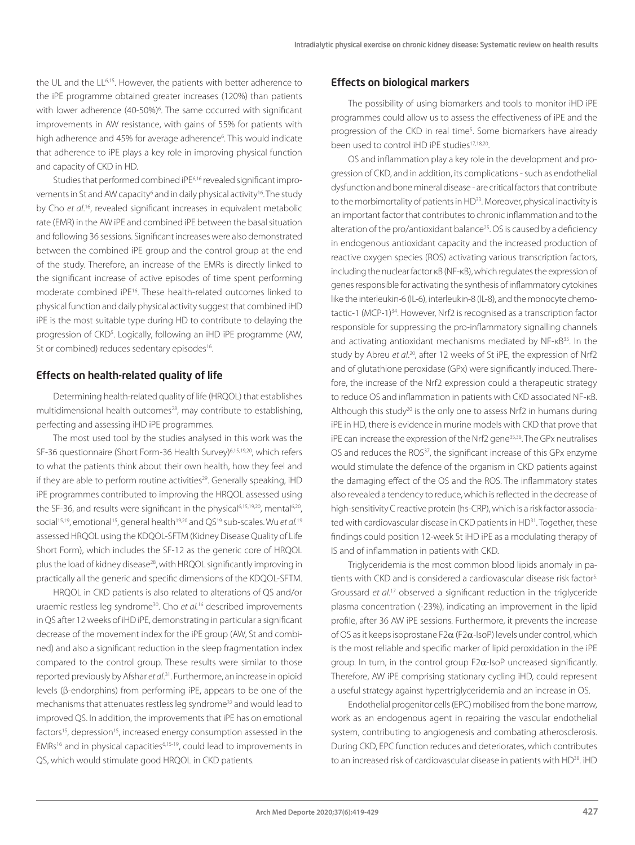the UL and the LL6,15. However, the patients with better adherence to the iPE programme obtained greater increases (120%) than patients with lower adherence (40-50%)<sup>6</sup>. The same occurred with significant improvements in AW resistance, with gains of 55% for patients with high adherence and 45% for average adherence<sup>6</sup>. This would indicate that adherence to iPE plays a key role in improving physical function and capacity of CKD in HD.

Studies that performed combined iPE<sup>6,16</sup> revealed significant improvements in St and AW capacity<sup>6</sup> and in daily physical activity<sup>16</sup>. The study by Cho et al.<sup>16</sup>, revealed significant increases in equivalent metabolic rate (EMR) in the AW iPE and combined iPE between the basal situation and following 36 sessions. Significant increases were also demonstrated between the combined iPE group and the control group at the end of the study. Therefore, an increase of the EMRs is directly linked to the significant increase of active episodes of time spent performing moderate combined iPE16. These health-related outcomes linked to physical function and daily physical activity suggest that combined iHD iPE is the most suitable type during HD to contribute to delaying the progression of CKD<sup>5</sup>. Logically, following an iHD iPE programme (AW, St or combined) reduces sedentary episodes<sup>16</sup>.

#### Effects on health-related quality of life

Determining health-related quality of life (HRQOL) that establishes multidimensional health outcomes<sup>28</sup>, may contribute to establishing, perfecting and assessing iHD iPE programmes.

The most used tool by the studies analysed in this work was the SF-36 questionnaire (Short Form-36 Health Survey)<sup>6,15,19,20</sup>, which refers to what the patients think about their own health, how they feel and if they are able to perform routine activities<sup>29</sup>. Generally speaking, iHD iPE programmes contributed to improving the HRQOL assessed using the SF-36, and results were significant in the physical<sup>6,15,19,20</sup>, mental<sup>6,20</sup>, social<sup>15,19</sup>, emotional<sup>15</sup>, general health<sup>19,20</sup> and QS<sup>19</sup> sub-scales. Wu et al.<sup>19</sup> assessed HRQOL using the KDQOL-SFTM (Kidney Disease Quality of Life Short Form), which includes the SF-12 as the generic core of HRQOL plus the load of kidney disease<sup>28</sup>, with HRQOL significantly improving in practically all the generic and specific dimensions of the KDQOL-SFTM.

HRQOL in CKD patients is also related to alterations of QS and/or uraemic restless leg syndrome30. Cho *et al.*16 described improvements in QS after 12 weeks of iHD iPE, demonstrating in particular a significant decrease of the movement index for the iPE group (AW, St and combined) and also a significant reduction in the sleep fragmentation index compared to the control group. These results were similar to those reported previously by Afshar *et al*. 31. Furthermore, an increase in opioid levels (β-endorphins) from performing iPE, appears to be one of the mechanisms that attenuates restless leg syndrome32 and would lead to improved QS. In addition, the improvements that iPE has on emotional factors<sup>15</sup>, depression<sup>15</sup>, increased energy consumption assessed in the EMRs<sup>16</sup> and in physical capacities<sup>6,15-19</sup>, could lead to improvements in QS, which would stimulate good HRQOL in CKD patients.

### Effects on biological markers

The possibility of using biomarkers and tools to monitor iHD iPE programmes could allow us to assess the effectiveness of iPE and the progression of the CKD in real time<sup>5</sup>. Some biomarkers have already been used to control iHD iPE studies17,18,20.

OS and inflammation play a key role in the development and progression of CKD, and in addition, its complications - such as endothelial dysfunction and bone mineral disease - are critical factors that contribute to the morbimortality of patients in HD<sup>33</sup>. Moreover, physical inactivity is an important factor that contributes to chronic inflammation and to the alteration of the pro/antioxidant balance<sup>25</sup>. OS is caused by a deficiency in endogenous antioxidant capacity and the increased production of reactive oxygen species (ROS) activating various transcription factors, including the nuclear factor κB (NF-κB), which regulates the expression of genes responsible for activating the synthesis of inflammatory cytokines like the interleukin-6 (IL-6), interleukin-8 (IL-8), and the monocyte chemotactic-1 (MCP-1)34. However, Nrf2 is recognised as a transcription factor responsible for suppressing the pro-inflammatory signalling channels and activating antioxidant mechanisms mediated by NF-κB35. In the study by Abreu et al.<sup>20</sup>, after 12 weeks of St iPE, the expression of Nrf2 and of glutathione peroxidase (GPx) were significantly induced. Therefore, the increase of the Nrf2 expression could a therapeutic strategy to reduce OS and inflammation in patients with CKD associated NF-κB. Although this study<sup>20</sup> is the only one to assess Nrf2 in humans during iPE in HD, there is evidence in murine models with CKD that prove that iPE can increase the expression of the Nrf2 gene<sup>35,36</sup>. The GPx neutralises OS and reduces the ROS<sup>37</sup>, the significant increase of this GPx enzyme would stimulate the defence of the organism in CKD patients against the damaging effect of the OS and the ROS. The inflammatory states also revealed a tendency to reduce, which is reflected in the decrease of high-sensitivity C reactive protein (hs-CRP), which is a risk factor associated with cardiovascular disease in CKD patients in HD<sup>31</sup>. Together, these findings could position 12-week St iHD iPE as a modulating therapy of IS and of inflammation in patients with CKD.

Triglyceridemia is the most common blood lipids anomaly in patients with CKD and is considered a cardiovascular disease risk factor5. Groussard *et al*. 17 observed a significant reduction in the triglyceride plasma concentration (-23%), indicating an improvement in the lipid profile, after 36 AW iPE sessions. Furthermore, it prevents the increase of OS as it keeps isoprostane F2 $\alpha$  (F2 $\alpha$ -IsoP) levels under control, which is the most reliable and specific marker of lipid peroxidation in the iPE group. In turn, in the control group F2α-IsoP uncreased significantly. Therefore, AW iPE comprising stationary cycling iHD, could represent a useful strategy against hypertriglyceridemia and an increase in OS.

Endothelial progenitor cells (EPC) mobilised from the bone marrow, work as an endogenous agent in repairing the vascular endothelial system, contributing to angiogenesis and combating atherosclerosis. During CKD, EPC function reduces and deteriorates, which contributes to an increased risk of cardiovascular disease in patients with HD<sup>38</sup>. iHD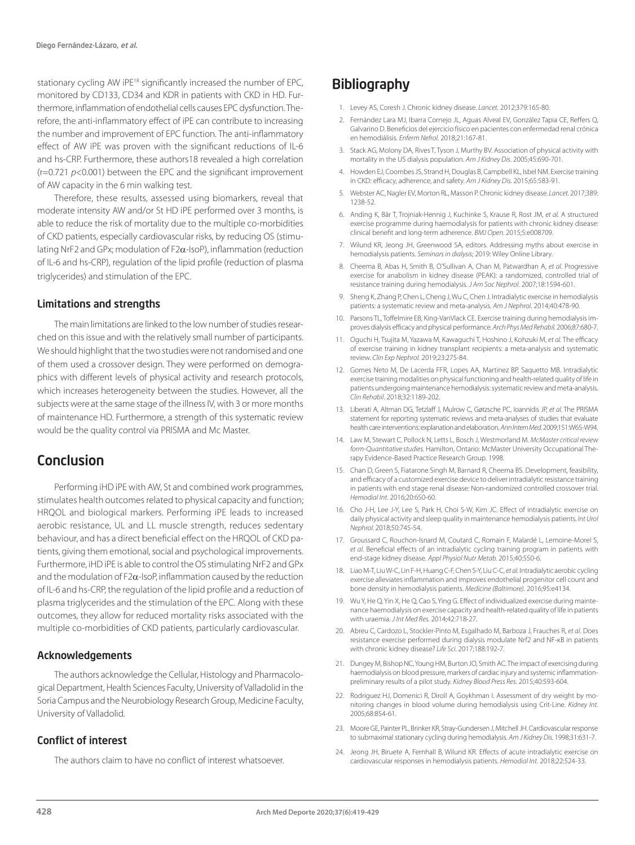stationary cycling AW iPE<sup>18</sup> significantly increased the number of EPC. monitored by CD133, CD34 and KDR in patients with CKD in HD. Furthermore, inflammation of endothelial cells causes EPC dysfunction. Therefore, the anti-inflammatory effect of iPE can contribute to increasing the number and improvement of EPC function. The anti-inflammatory effect of AW iPE was proven with the significant reductions of IL-6 and hs-CRP. Furthermore, these authors18 revealed a high correlation (r=0.721 *p*<0.001) between the EPC and the significant improvement of AW capacity in the 6 min walking test.

Therefore, these results, assessed using biomarkers, reveal that moderate intensity AW and/or St HD iPE performed over 3 months, is able to reduce the risk of mortality due to the multiple co-morbidities of CKD patients, especially cardiovascular risks, by reducing OS (stimulating NrF2 and GPx; modulation of F2α-IsoP), inflammation (reduction of IL-6 and hs-CRP), regulation of the lipid profile (reduction of plasma triglycerides) and stimulation of the EPC.

#### Limitations and strengths

The main limitations are linked to the low number of studies researched on this issue and with the relatively small number of participants. We should highlight that the two studies were not randomised and one of them used a crossover design. They were performed on demographics with different levels of physical activity and research protocols, which increases heterogeneity between the studies. However, all the subjects were at the same stage of the illness IV, with 3 or more months of maintenance HD. Furthermore, a strength of this systematic review would be the quality control via PRISMA and Mc Master.

# Conclusion

Performing iHD iPE with AW, St and combined work programmes, stimulates health outcomes related to physical capacity and function; HRQOL and biological markers. Performing iPE leads to increased aerobic resistance, UL and LL muscle strength, reduces sedentary behaviour, and has a direct beneficial effect on the HRQOL of CKD patients, giving them emotional, social and psychological improvements. Furthermore, iHD iPE is able to control the OS stimulating NrF2 and GPx and the modulation of  $F2\alpha$ -IsoP, inflammation caused by the reduction of IL-6 and hs-CRP, the regulation of the lipid profile and a reduction of plasma triglycerides and the stimulation of the EPC. Along with these outcomes, they allow for reduced mortality risks associated with the multiple co-morbidities of CKD patients, particularly cardiovascular.

# Acknowledgements

The authors acknowledge the Cellular, Histology and Pharmacological Department, Health Sciences Faculty, University of Valladolid in the Soria Campus and the Neurobiology Research Group, Medicine Faculty, University of Valladolid.

# Conflict of interest

The authors claim to have no conflict of interest whatsoever.

# **Bibliography**

- 1. Levey AS, Coresh J. Chronic kidney disease. *Lancet.* 2012;379:165-80.
- 2. Fernández Lara MJ, Ibarra Cornejo JL, Aguas Alveal EV, González Tapia CE, Reffers Q, Galvarino D. Beneficios del ejercicio físico en pacientes con enfermedad renal crónica en hemodiálisis*. Enferm Nefrol.* 2018;21:167-81.
- 3. Stack AG, Molony DA, Rives T, Tyson J, Murthy BV. Association of physical activity with mortality in the US dialysis population. *Am J Kidney Dis*. 2005;45:690-701.
- 4. Howden EJ, Coombes JS, Strand H, Douglas B, Campbell KL, Isbel NM. Exercise training in CKD: efficacy, adherence, and safety. *Am J Kidney Dis.* 2015;65:583-91.
- 5. Webster AC, Nagler EV, Morton RL, Masson P. Chronic kidney disease. *Lancet.* 2017;389: 1238-52.
- 6. Anding K, Bär T, Trojniak-Hennig J, Kuchinke S, Krause R, Rost JM, *et al.* A structured exercise programme during haemodialysis for patients with chronic kidney disease: clinical benefit and long-term adherence. *BMJ Open.* 2015;5:e008709.
- 7. Wilund KR, Jeong JH, Greenwood SA, editors. Addressing myths about exercise in hemodialysis patients. *Seminars in dialysis*; 2019: Wiley Online Library.
- 8. Cheema B, Abas H, Smith B, O'Sullivan A, Chan M, Patwardhan A, *et al*. Progressive exercise for anabolism in kidney disease (PEAK): a randomized, controlled trial of resistance training during hemodialysis. *J Am Soc Nephrol*. 2007;18:1594-601.
- 9. Sheng K, Zhang P, Chen L, Cheng J, Wu C, Chen J. Intradialytic exercise in hemodialysis patients: a systematic review and meta-analysis. *Am J Nephrol*. 2014;40:478-90.
- 10. Parsons TL, Toffelmire EB, King-VanVlack CE. Exercise training during hemodialysis improves dialysis efficacy and physical performance. *Arch Phys Med Rehabil.* 2006;87:680-7.
- 11. Oguchi H, Tsujita M, Yazawa M, Kawaguchi T, Hoshino J, Kohzuki M, *et al.* The efficacy of exercise training in kidney transplant recipients: a meta-analysis and systematic review. *Clin Exp Nephrol.* 2019;23:275-84.
- 12. Gomes Neto M, De Lacerda FFR, Lopes AA, Martinez BP, Saquetto MB. Intradialytic exercise training modalities on physical functioning and health-related quality of life in patients undergoing maintenance hemodialysis: systematic review and meta-analysis. *Clin Rehabil*. 2018;32:1189-202.
- 13. Liberati A, Altman DG, Tetzlaff J, Mulrow C, Gøtzsche PC, Ioannidis JP, *et al.* The PRISMA statement for reporting systematic reviews and meta-analyses of studies that evaluate health care interventions: explanation and elaboration. *Ann Intern Med*. 2009;151:W65-W94.
- 14. Law M, Stewart C, Pollock N, Letts L, Bosch J, Westmorland M. *McMaster critical review form-Quantitative studies.* Hamilton, Ontario: McMaster University Occupational Therapy Evidence-Based Practice Research Group. 1998.
- 15. Chan D, Green S, Fiatarone Singh M, Barnard R, Cheema BS. Development, feasibility, and efficacy of a customized exercise device to deliver intradialytic resistance training in patients with end stage renal disease: Non-randomized controlled crossover trial. *Hemodial Int.* 2016;20:650-60.
- 16. Cho J-H, Lee J-Y, Lee S, Park H, Choi S-W, Kim JC. Effect of intradialytic exercise on daily physical activity and sleep quality in maintenance hemodialysis patients. *Int Urol Nephrol.* 2018;50:745-54.
- 17. Groussard C, Rouchon-Isnard M, Coutard C, Romain F, Malardé L, Lemoine-Morel S, *et al.* Beneficial effects of an intradialytic cycling training program in patients with end-stage kidney disease. *Appl Physiol Nutr Metab.* 2015;40:550-6.
- 18. Liao M-T, Liu W-C, Lin F-H, Huang C-F, Chen S-Y, Liu C-C, *et al.* Intradialytic aerobic cycling exercise alleviates inflammation and improves endothelial progenitor cell count and bone density in hemodialysis patients. *Medicine (Baltimore).* 2016;95:e4134.
- 19. Wu Y, He Q, Yin X, He Q, Cao S, Ying G. Effect of individualized exercise during maintenance haemodialysis on exercise capacity and health-related quality of life in patients with uraemia. *J Int Med Res.* 2014;42:718-27.
- 20. Abreu C, Cardozo L, Stockler-Pinto M, Esgalhado M, Barboza J, Frauches R, *et al*. Does resistance exercise performed during dialysis modulate Nrf2 and NF-κB in patients with chronic kidney disease? *Life Sci.* 2017;188:192-7.
- 21. Dungey M, Bishop NC, Young HM, Burton JO, Smith AC. The impact of exercising during haemodialysis on blood pressure, markers of cardiac injury and systemic inflammationpreliminary results of a pilot study. *Kidney Blood Press Res.* 2015;40:593-604.
- 22. Rodriguez HJ, Domenici R, Diroll A, Goykhman I. Assessment of dry weight by monitoring changes in blood volume during hemodialysis using Crit-Line. *Kidney Int.*  2005;68:854-61.
- 23. Moore GE, Painter PL, Brinker KR, Stray-Gundersen J, Mitchell JH. Cardiovascular response to submaximal stationary cycling during hemodialysis. *Am J Kidney Dis.* 1998;31:631-7.
- 24. Jeong JH, Biruete A, Fernhall B, Wilund KR. Effects of acute intradialytic exercise on cardiovascular responses in hemodialysis patients. *Hemodial Int.* 2018;22:524-33.